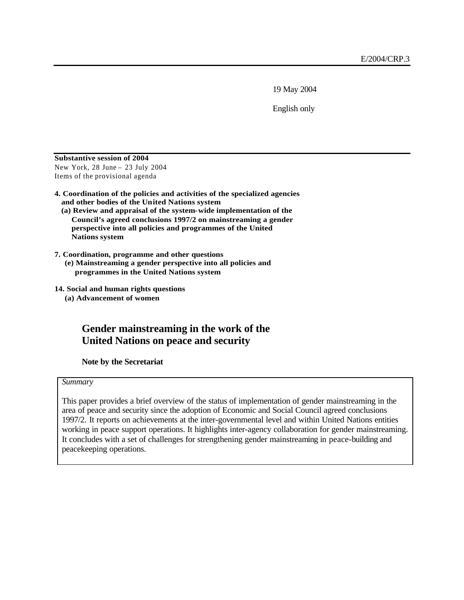19 May 2004

English only

**Substantive session of 2004** New York, 28 June – 23 July 2004 Items of the provisional agenda

- **4. Coordination of the policies and activities of the specialized agencies and other bodies of the United Nations system**
	- **(a) Review and appraisal of the system-wide implementation of the Council's agreed conclusions 1997/2 on mainstreaming a gender perspective into all policies and programmes of the United Nations system**
- **7. Coordination, programme and other questions**
	- **(e) Mainstreaming a gender perspective into all policies and programmes in the United Nations system**
- **14. Social and human rights questions (a) Advancement of women**

# **Gender mainstreaming in the work of the United Nations on peace and security**

**Note by the Secretariat**

#### *Summary*

This paper provides a brief overview of the status of implementation of gender mainstreaming in the area of peace and security since the adoption of Economic and Social Council agreed conclusions 1997/2. It reports on achievements at the inter-governmental level and within United Nations entities working in peace support operations. It highlights inter-agency collaboration for gender mainstreaming. It concludes with a set of challenges for strengthening gender mainstreaming in peace-building and peacekeeping operations.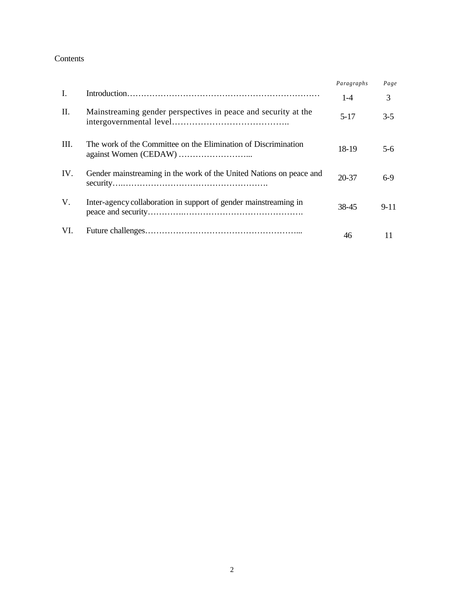#### Contents

|      |                                                                     | Paragraphs | Page     |
|------|---------------------------------------------------------------------|------------|----------|
| Ι.   |                                                                     | $1 - 4$    | 3        |
| П.   | Mainstreaming gender perspectives in peace and security at the      | $5 - 17$   | $3 - 5$  |
| III. | The work of the Committee on the Elimination of Discrimination      | 18-19      | 5-6      |
| IV.  | Gender mainstreaming in the work of the United Nations on peace and | 20-37      | $6-9$    |
| V.   | Inter-agency collaboration in support of gender mainstreaming in    | 38-45      | $9 - 11$ |
| VI.  |                                                                     | 46         |          |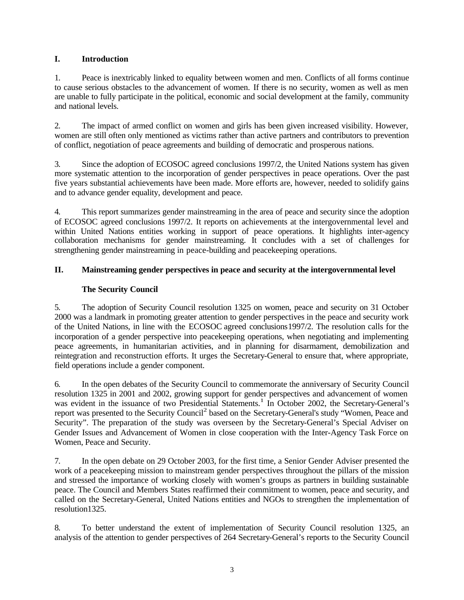## **I. Introduction**

1. Peace is inextricably linked to equality between women and men. Conflicts of all forms continue to cause serious obstacles to the advancement of women. If there is no security, women as well as men are unable to fully participate in the political, economic and social development at the family, community and national levels.

2. The impact of armed conflict on women and girls has been given increased visibility. However, women are still often only mentioned as victims rather than active partners and contributors to prevention of conflict, negotiation of peace agreements and building of democratic and prosperous nations.

3. Since the adoption of ECOSOC agreed conclusions 1997/2, the United Nations system has given more systematic attention to the incorporation of gender perspectives in peace operations. Over the past five years substantial achievements have been made. More efforts are, however, needed to solidify gains and to advance gender equality, development and peace.

4. This report summarizes gender mainstreaming in the area of peace and security since the adoption of ECOSOC agreed conclusions 1997/2. It reports on achievements at the intergovernmental level and within United Nations entities working in support of peace operations. It highlights inter-agency collaboration mechanisms for gender mainstreaming. It concludes with a set of challenges for strengthening gender mainstreaming in peace-building and peacekeeping operations.

## **II. Mainstreaming gender perspectives in peace and security at the intergovernmental level**

## **The Security Council**

5. The adoption of Security Council resolution 1325 on women, peace and security on 31 October 2000 was a landmark in promoting greater attention to gender perspectives in the peace and security work of the United Nations, in line with the ECOSOC agreed conclusions1997/2. The resolution calls for the incorporation of a gender perspective into peacekeeping operations, when negotiating and implementing peace agreements, in humanitarian activities, and in planning for disarmament, demobilization and reintegration and reconstruction efforts. It urges the Secretary-General to ensure that, where appropriate, field operations include a gender component.

6. In the open debates of the Security Council to commemorate the anniversary of Security Council resolution 1325 in 2001 and 2002, growing support for gender perspectives and advancement of women was evident in the issuance of two Presidential Statements.<sup>1</sup> In October 2002, the Secretary-General's report was presented to the Security Council<sup>2</sup> based on the Secretary-General's study "Women, Peace and Security". The preparation of the study was overseen by the Secretary-General's Special Adviser on Gender Issues and Advancement of Women in close cooperation with the Inter-Agency Task Force on Women, Peace and Security.

7. In the open debate on 29 October 2003, for the first time, a Senior Gender Adviser presented the work of a peacekeeping mission to mainstream gender perspectives throughout the pillars of the mission and stressed the importance of working closely with women's groups as partners in building sustainable peace. The Council and Members States reaffirmed their commitment to women, peace and security, and called on the Secretary-General, United Nations entities and NGOs to strengthen the implementation of resolution1325.

8. To better understand the extent of implementation of Security Council resolution 1325, an analysis of the attention to gender perspectives of 264 Secretary-General's reports to the Security Council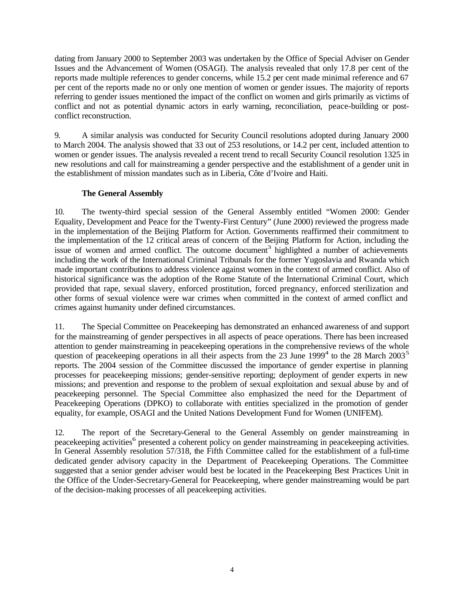dating from January 2000 to September 2003 was undertaken by the Office of Special Adviser on Gender Issues and the Advancement of Women (OSAGI). The analysis revealed that only 17.8 per cent of the reports made multiple references to gender concerns, while 15.2 per cent made minimal reference and 67 per cent of the reports made no or only one mention of women or gender issues. The majority of reports referring to gender issues mentioned the impact of the conflict on women and girls primarily as victims of conflict and not as potential dynamic actors in early warning, reconciliation, peace-building or postconflict reconstruction.

9. A similar analysis was conducted for Security Council resolutions adopted during January 2000 to March 2004. The analysis showed that 33 out of 253 resolutions, or 14.2 per cent, included attention to women or gender issues. The analysis revealed a recent trend to recall Security Council resolution 1325 in new resolutions and call for mainstreaming a gender perspective and the establishment of a gender unit in the establishment of mission mandates such as in Liberia, Côte d'Ivoire and Haiti.

## **The General Assembly**

10. The twenty-third special session of the General Assembly entitled "Women 2000: Gender Equality, Development and Peace for the Twenty-First Century" (June 2000) reviewed the progress made in the implementation of the Beijing Platform for Action. Governments reaffirmed their commitment to the implementation of the 12 critical areas of concern of the Beijing Platform for Action, including the issue of women and armed conflict. The outcome document<sup>3</sup> highlighted a number of achievements including the work of the International Criminal Tribunals for the former Yugoslavia and Rwanda which made important contributions to address violence against women in the context of armed conflict. Also of historical significance was the adoption of the Rome Statute of the International Criminal Court, which provided that rape, sexual slavery, enforced prostitution, forced pregnancy, enforced sterilization and other forms of sexual violence were war crimes when committed in the context of armed conflict and crimes against humanity under defined circumstances.

11. The Special Committee on Peacekeeping has demonstrated an enhanced awareness of and support for the mainstreaming of gender perspectives in all aspects of peace operations. There has been increased attention to gender mainstreaming in peacekeeping operations in the comprehensive reviews of the whole question of peacekeeping operations in all their aspects from the  $23$  June  $1999<sup>4</sup>$  to the  $28$  March  $2003<sup>5</sup>$ reports. The 2004 session of the Committee discussed the importance of gender expertise in planning processes for peacekeeping missions; gender-sensitive reporting; deployment of gender experts in new missions; and prevention and response to the problem of sexual exploitation and sexual abuse by and of peacekeeping personnel. The Special Committee also emphasized the need for the Department of Peacekeeping Operations (DPKO) to collaborate with entities specialized in the promotion of gender equality, for example, OSAGI and the United Nations Development Fund for Women (UNIFEM).

12. The report of the Secretary-General to the General Assembly on gender mainstreaming in peacekeeping activities<sup>6</sup> presented a coherent policy on gender mainstreaming in peacekeeping activities. In General Assembly resolution 57/318, the Fifth Committee called for the establishment of a full-time dedicated gender advisory capacity in the Department of Peacekeeping Operations. The Committee suggested that a senior gender adviser would best be located in the Peacekeeping Best Practices Unit in the Office of the Under-Secretary-General for Peacekeeping, where gender mainstreaming would be part of the decision-making processes of all peacekeeping activities.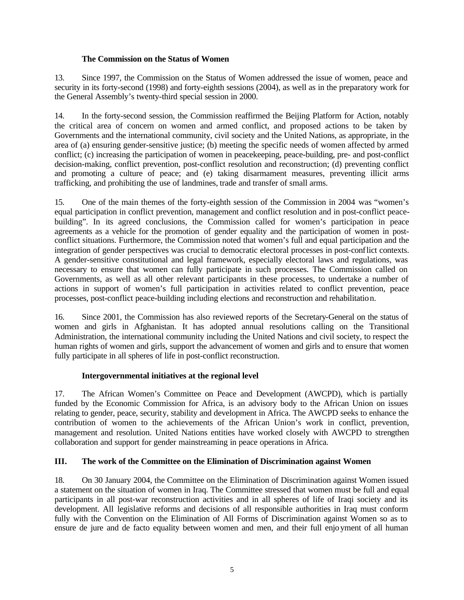#### **The Commission on the Status of Women**

13. Since 1997, the Commission on the Status of Women addressed the issue of women, peace and security in its forty-second (1998) and forty-eighth sessions (2004), as well as in the preparatory work for the General Assembly's twenty-third special session in 2000.

14. In the forty-second session, the Commission reaffirmed the Beijing Platform for Action, notably the critical area of concern on women and armed conflict, and proposed actions to be taken by Governments and the international community, civil society and the United Nations, as appropriate, in the area of (a) ensuring gender-sensitive justice; (b) meeting the specific needs of women affected by armed conflict; (c) increasing the participation of women in peacekeeping, peace-building, pre- and post-conflict decision-making, conflict prevention, post-conflict resolution and reconstruction; (d) preventing conflict and promoting a culture of peace; and (e) taking disarmament measures, preventing illicit arms trafficking, and prohibiting the use of landmines, trade and transfer of small arms.

15. One of the main themes of the forty-eighth session of the Commission in 2004 was "women's equal participation in conflict prevention, management and conflict resolution and in post-conflict peacebuilding". In its agreed conclusions, the Commission called for women's participation in peace agreements as a vehicle for the promotion of gender equality and the participation of women in postconflict situations. Furthermore, the Commission noted that women's full and equal participation and the integration of gender perspectives was crucial to democratic electoral processes in post-conflict contexts. A gender-sensitive constitutional and legal framework, especially electoral laws and regulations, was necessary to ensure that women can fully participate in such processes. The Commission called on Governments, as well as all other relevant participants in these processes, to undertake a number of actions in support of women's full participation in activities related to conflict prevention, peace processes, post-conflict peace-building including elections and reconstruction and rehabilitation.

16. Since 2001, the Commission has also reviewed reports of the Secretary-General on the status of women and girls in Afghanistan. It has adopted annual resolutions calling on the Transitional Administration, the international community including the United Nations and civil society, to respect the human rights of women and girls, support the advancement of women and girls and to ensure that women fully participate in all spheres of life in post-conflict reconstruction.

## **Intergovernmental initiatives at the regional level**

17. The African Women's Committee on Peace and Development (AWCPD), which is partially funded by the Economic Commission for Africa, is an advisory body to the African Union on issues relating to gender, peace, security, stability and development in Africa. The AWCPD seeks to enhance the contribution of women to the achievements of the African Union's work in conflict, prevention, management and resolution. United Nations entities have worked closely with AWCPD to strengthen collaboration and support for gender mainstreaming in peace operations in Africa.

#### **III. The work of the Committee on the Elimination of Discrimination against Women**

18. On 30 January 2004, the Committee on the Elimination of Discrimination against Women issued a statement on the situation of women in Iraq. The Committee stressed that women must be full and equal participants in all post-war reconstruction activities and in all spheres of life of Iraqi society and its development. All legislative reforms and decisions of all responsible authorities in Iraq must conform fully with the Convention on the Elimination of All Forms of Discrimination against Women so as to ensure de jure and de facto equality between women and men, and their full enjoyment of all human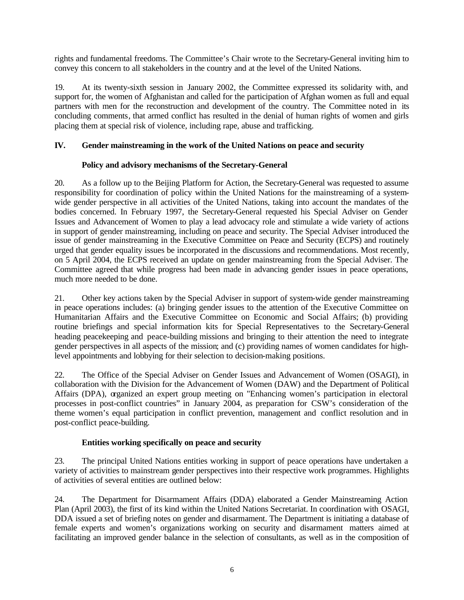rights and fundamental freedoms. The Committee's Chair wrote to the Secretary-General inviting him to convey this concern to all stakeholders in the country and at the level of the United Nations.

19. At its twenty-sixth session in January 2002, the Committee expressed its solidarity with, and support for, the women of Afghanistan and called for the participation of Afghan women as full and equal partners with men for the reconstruction and development of the country. The Committee noted in its concluding comments, that armed conflict has resulted in the denial of human rights of women and girls placing them at special risk of violence, including rape, abuse and trafficking.

## **IV. Gender mainstreaming in the work of the United Nations on peace and security**

## **Policy and advisory mechanisms of the Secretary-General**

20. As a follow up to the Beijing Platform for Action, the Secretary-General was requested to assume responsibility for coordination of policy within the United Nations for the mainstreaming of a systemwide gender perspective in all activities of the United Nations, taking into account the mandates of the bodies concerned. In February 1997, the Secretary-General requested his Special Adviser on Gender Issues and Advancement of Women to play a lead advocacy role and stimulate a wide variety of actions in support of gender mainstreaming, including on peace and security. The Special Adviser introduced the issue of gender mainstreaming in the Executive Committee on Peace and Security (ECPS) and routinely urged that gender equality issues be incorporated in the discussions and recommendations. Most recently, on 5 April 2004, the ECPS received an update on gender mainstreaming from the Special Adviser. The Committee agreed that while progress had been made in advancing gender issues in peace operations, much more needed to be done.

21. Other key actions taken by the Special Adviser in support of system-wide gender mainstreaming in peace operations includes: (a) bringing gender issues to the attention of the Executive Committee on Humanitarian Affairs and the Executive Committee on Economic and Social Affairs; (b) providing routine briefings and special information kits for Special Representatives to the Secretary-General heading peacekeeping and peace-building missions and bringing to their attention the need to integrate gender perspectives in all aspects of the mission; and (c) providing names of women candidates for highlevel appointments and lobbying for their selection to decision-making positions.

22. The Office of the Special Adviser on Gender Issues and Advancement of Women (OSAGI), in collaboration with the Division for the Advancement of Women (DAW) and the Department of Political Affairs (DPA), organized an expert group meeting on "Enhancing women's participation in electoral processes in post-conflict countries" in January 2004, as preparation for CSW's consideration of the theme women's equal participation in conflict prevention, management and conflict resolution and in post-conflict peace-building.

## **Entities working specifically on peace and security**

23. The principal United Nations entities working in support of peace operations have undertaken a variety of activities to mainstream gender perspectives into their respective work programmes. Highlights of activities of several entities are outlined below:

24. The Department for Disarmament Affairs (DDA) elaborated a Gender Mainstreaming Action Plan (April 2003), the first of its kind within the United Nations Secretariat. In coordination with OSAGI, DDA issued a set of briefing notes on gender and disarmament. The Department is initiating a database of female experts and women's organizations working on security and disarmament matters aimed at facilitating an improved gender balance in the selection of consultants, as well as in the composition of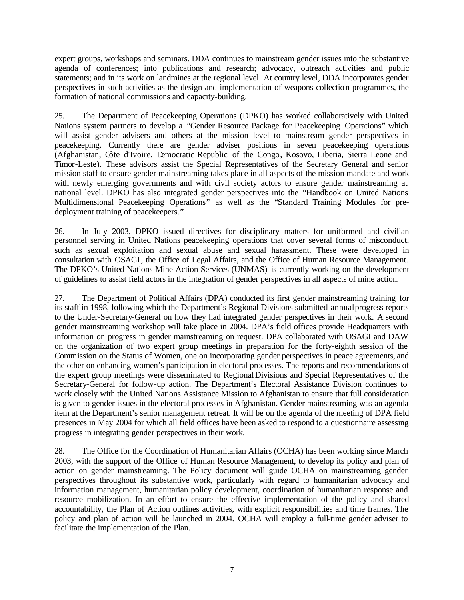expert groups, workshops and seminars. DDA continues to mainstream gender issues into the substantive agenda of conferences; into publications and research; advocacy, outreach activities and public statements; and in its work on landmines at the regional level. At country level, DDA incorporates gender perspectives in such activities as the design and implementation of weapons collection programmes, the formation of national commissions and capacity-building.

25. The Department of Peacekeeping Operations (DPKO) has worked collaboratively with United Nations system partners to develop a "Gender Resource Package for Peacekeeping Operations" which will assist gender advisers and others at the mission level to mainstream gender perspectives in peacekeeping. Currently there are gender adviser positions in seven peacekeeping operations (Afghanistan, Côte d'Ivoire, Democratic Republic of the Congo, Kosovo, Liberia, Sierra Leone and Timor-Leste). These advisors assist the Special Representatives of the Secretary General and senior mission staff to ensure gender mainstreaming takes place in all aspects of the mission mandate and work with newly emerging governments and with civil society actors to ensure gender mainstreaming at national level. DPKO has also integrated gender perspectives into the "Handbook on United Nations Multidimensional Peacekeeping Operations" as well as the "Standard Training Modules for predeployment training of peacekeepers."

26. In July 2003, DPKO issued directives for disciplinary matters for uniformed and civilian personnel serving in United Nations peacekeeping operations that cover several forms of misconduct, such as sexual exploitation and sexual abuse and sexual harassment. These were developed in consultation with OSAGI, the Office of Legal Affairs, and the Office of Human Resource Management. The DPKO's United Nations Mine Action Services (UNMAS) is currently working on the development of guidelines to assist field actors in the integration of gender perspectives in all aspects of mine action.

27. The Department of Political Affairs (DPA) conducted its first gender mainstreaming training for its staff in 1998, following which the Department's Regional Divisions submitted annual progress reports to the Under-Secretary-General on how they had integrated gender perspectives in their work. A second gender mainstreaming workshop will take place in 2004. DPA's field offices provide Headquarters with information on progress in gender mainstreaming on request. DPA collaborated with OSAGI and DAW on the organization of two expert group meetings in preparation for the forty-eighth session of the Commission on the Status of Women, one on incorporating gender perspectives in peace agreements, and the other on enhancing women's participation in electoral processes. The reports and recommendations of the expert group meetings were disseminated to Regional Divisions and Special Representatives of the Secretary-General for follow-up action. The Department's Electoral Assistance Division continues to work closely with the United Nations Assistance Mission to Afghanistan to ensure that full consideration is given to gender issues in the electoral processes in Afghanistan. Gender mainstreaming was an agenda item at the Department's senior management retreat. It will be on the agenda of the meeting of DPA field presences in May 2004 for which all field offices have been asked to respond to a questionnaire assessing progress in integrating gender perspectives in their work.

28. The Office for the Coordination of Humanitarian Affairs (OCHA) has been working since March 2003, with the support of the Office of Human Resource Management, to develop its policy and plan of action on gender mainstreaming. The Policy document will guide OCHA on mainstreaming gender perspectives throughout its substantive work, particularly with regard to humanitarian advocacy and information management, humanitarian policy development, coordination of humanitarian response and resource mobilization. In an effort to ensure the effective implementation of the policy and shared accountability, the Plan of Action outlines activities, with explicit responsibilities and time frames. The policy and plan of action will be launched in 2004. OCHA will employ a full-time gender adviser to facilitate the implementation of the Plan.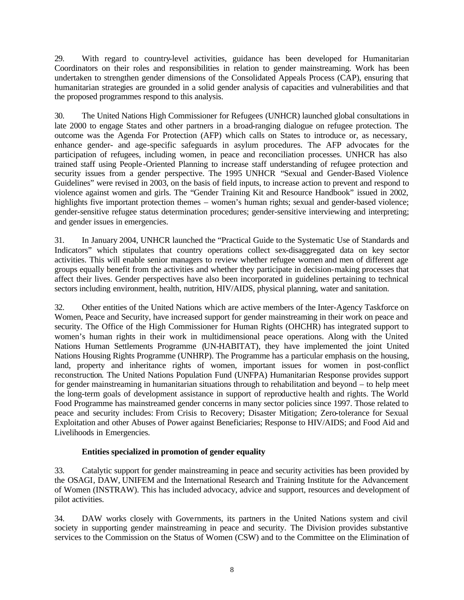29. With regard to country-level activities, guidance has been developed for Humanitarian Coordinators on their roles and responsibilities in relation to gender mainstreaming. Work has been undertaken to strengthen gender dimensions of the Consolidated Appeals Process (CAP), ensuring that humanitarian strategies are grounded in a solid gender analysis of capacities and vulnerabilities and that the proposed programmes respond to this analysis.

30. The United Nations High Commissioner for Refugees (UNHCR) launched global consultations in late 2000 to engage States and other partners in a broad-ranging dialogue on refugee protection. The outcome was the Agenda For Protection (AFP) which calls on States to introduce or, as necessary, enhance gender- and age-specific safeguards in asylum procedures. The AFP advocates for the participation of refugees, including women, in peace and reconciliation processes. UNHCR has also trained staff using People -Oriented Planning to increase staff understanding of refugee protection and security issues from a gender perspective. The 1995 UNHCR "Sexual and Gender-Based Violence Guidelines" were revised in 2003, on the basis of field inputs, to increase action to prevent and respond to violence against women and girls. The "Gender Training Kit and Resource Handbook" issued in 2002, highlights five important protection themes – women's human rights; sexual and gender-based violence; gender-sensitive refugee status determination procedures; gender-sensitive interviewing and interpreting; and gender issues in emergencies.

31. In January 2004, UNHCR launched the "Practical Guide to the Systematic Use of Standards and Indicators" which stipulates that country operations collect sex-disaggregated data on key sector activities. This will enable senior managers to review whether refugee women and men of different age groups equally benefit from the activities and whether they participate in decision-making processes that affect their lives. Gender perspectives have also been incorporated in guidelines pertaining to technical sectors including environment, health, nutrition, HIV/AIDS, physical planning, water and sanitation.

32. Other entities of the United Nations which are active members of the Inter-Agency Taskforce on Women, Peace and Security, have increased support for gender mainstreaming in their work on peace and security. The Office of the High Commissioner for Human Rights (OHCHR) has integrated support to women's human rights in their work in multidimensional peace operations. Along with the United Nations Human Settlements Programme (UN-HABITAT), they have implemented the joint United Nations Housing Rights Programme (UNHRP). The Programme has a particular emphasis on the housing, land, property and inheritance rights of women, important issues for women in post-conflict reconstruction. The United Nations Population Fund (UNFPA) Humanitarian Response provides support for gender mainstreaming in humanitarian situations through to rehabilitation and beyond – to help meet the long-term goals of development assistance in support of reproductive health and rights. The World Food Programme has mainstreamed gender concerns in many sector policies since 1997. Those related to peace and security includes: From Crisis to Recovery; Disaster Mitigation; Zero-tolerance for Sexual Exploitation and other Abuses of Power against Beneficiaries; Response to HIV/AIDS; and Food Aid and Livelihoods in Emergencies.

## **Entities specialized in promotion of gender equality**

33. Catalytic support for gender mainstreaming in peace and security activities has been provided by the OSAGI, DAW, UNIFEM and the International Research and Training Institute for the Advancement of Women (INSTRAW). This has included advocacy, advice and support, resources and development of pilot activities.

34. DAW works closely with Governments, its partners in the United Nations system and civil society in supporting gender mainstreaming in peace and security. The Division provides substantive services to the Commission on the Status of Women (CSW) and to the Committee on the Elimination of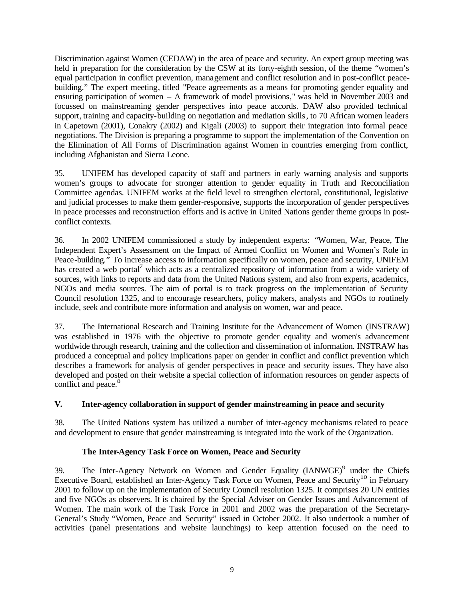Discrimination against Women (CEDAW) in the area of peace and security. An expert group meeting was held in preparation for the consideration by the CSW at its forty-eighth session, of the theme "women's equal participation in conflict prevention, management and conflict resolution and in post-conflict peacebuilding." The expert meeting, titled "Peace agreements as a means for promoting gender equality and ensuring participation of women – A framework of model provisions," was held in November 2003 and focussed on mainstreaming gender perspectives into peace accords. DAW also provided technical support, training and capacity-building on negotiation and mediation skills, to 70 African women leaders in Capetown (2001), Conakry (2002) and Kigali (2003) to support their integration into formal peace negotiations. The Division is preparing a programme to support the implementation of the Convention on the Elimination of All Forms of Discrimination against Women in countries emerging from conflict, including Afghanistan and Sierra Leone.

35. UNIFEM has developed capacity of staff and partners in early warning analysis and supports women's groups to advocate for stronger attention to gender equality in Truth and Reconciliation Committee agendas. UNIFEM works at the field level to strengthen electoral, constitutional, legislative and judicial processes to make them gender-responsive, supports the incorporation of gender perspectives in peace processes and reconstruction efforts and is active in United Nations gender theme groups in postconflict contexts.

36. In 2002 UNIFEM commissioned a study by independent experts: "Women, War, Peace, The Independent Expert's Assessment on the Impact of Armed Conflict on Women and Women's Role in Peace-building." To increase access to information specifically on women, peace and security, UNIFEM has created a web portal<sup>7</sup> which acts as a centralized repository of information from a wide variety of sources, with links to reports and data from the United Nations system, and also from experts, academics, NGOs and media sources. The aim of portal is to track progress on the implementation of Security Council resolution 1325, and to encourage researchers, policy makers, analysts and NGOs to routinely include, seek and contribute more information and analysis on women, war and peace.

37. The International Research and Training Institute for the Advancement of Women (INSTRAW) was established in 1976 with the objective to promote gender equality and women's advancement worldwide through research, training and the collection and dissemination of information. INSTRAW has produced a conceptual and policy implications paper on gender in conflict and conflict prevention which describes a framework for analysis of gender perspectives in peace and security issues. They have also developed and posted on their website a special collection of information resources on gender aspects of conflict and peace.<sup>8</sup>

## **V. Inter-agency collaboration in support of gender mainstreaming in peace and security**

38. The United Nations system has utilized a number of inter-agency mechanisms related to peace and development to ensure that gender mainstreaming is integrated into the work of the Organization.

#### **The Inter-Agency Task Force on Women, Peace and Security**

39. The Inter-Agency Network on Women and Gender Equality (IANWGE)<sup>9</sup> under the Chiefs 39. The Inter-Agency Network on Women and Gender Equality (IANWGE)<sup>9</sup> under the Chiefs Executive Board, established an Inter-Agency Task Force on Women, Peace and Security<sup>10</sup> in February 2001 to follow up on the implementation of Security Council resolution 1325. It comprises 20 UN entities and five NGOs as observers. It is chaired by the Special Adviser on Gender Issues and Advancement of Women. The main work of the Task Force in 2001 and 2002 was the preparation of the Secretary-General's Study "Women, Peace and Security" issued in October 2002. It also undertook a number of activities (panel presentations and website launchings) to keep attention focused on the need to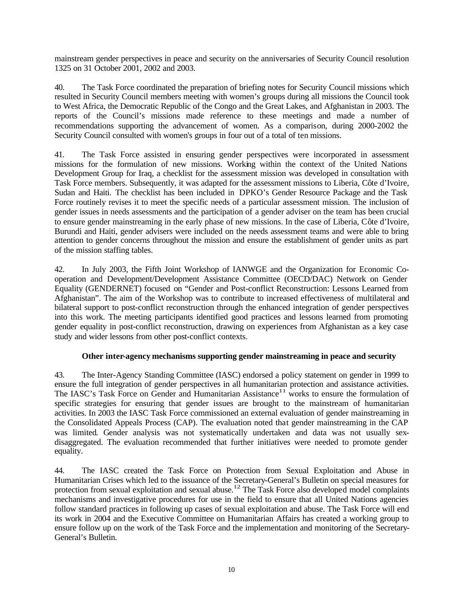mainstream gender perspectives in peace and security on the anniversaries of Security Council resolution 1325 on 31 October 2001, 2002 and 2003.

40. The Task Force coordinated the preparation of briefing notes for Security Council missions which resulted in Security Council members meeting with women's groups during all missions the Council took to West Africa, the Democratic Republic of the Congo and the Great Lakes, and Afghanistan in 2003. The reports of the Council's missions made reference to these meetings and made a number of recommendations supporting the advancement of women. As a comparison, during 2000-2002 the Security Council consulted with women's groups in four out of a total of ten missions.

41. The Task Force assisted in ensuring gender perspectives were incorporated in assessment missions for the formulation of new missions. Working within the context of the United Nations Development Group for Iraq, a checklist for the assessment mission was developed in consultation with Task Force members. Subsequently, it was adapted for the assessment missions to Liberia, Côte d'Ivoire, Sudan and Haiti. The checklist has been included in DPKO's Gender Resource Package and the Task Force routinely revises it to meet the specific needs of a particular assessment mission. The inclusion of gender issues in needs assessments and the participation of a gender adviser on the team has been crucial to ensure gender mainstreaming in the early phase of new missions. In the case of Liberia, Côte d'Ivoire, Burundi and Haiti, gender advisers were included on the needs assessment teams and were able to bring attention to gender concerns throughout the mission and ensure the establishment of gender units as part of the mission staffing tables.

42. In July 2003, the Fifth Joint Workshop of IANWGE and the Organization for Economic Cooperation and Development/Development Assistance Committee (OECD/DAC) Network on Gender Equality (GENDERNET) focused on "Gender and Post-conflict Reconstruction: Lessons Learned from Afghanistan". The aim of the Workshop was to contribute to increased effectiveness of multilateral and bilateral support to post-conflict reconstruction through the enhanced integration of gender perspectives into this work. The meeting participants identified good practices and lessons learned from promoting gender equality in post-conflict reconstruction, drawing on experiences from Afghanistan as a key case study and wider lessons from other post-conflict contexts.

## **Other inter-agency mechanisms supporting gender mainstreaming in peace and security**

43. The Inter-Agency Standing Committee (IASC) endorsed a policy statement on gender in 1999 to ensure the full integration of gender perspectives in all humanitarian protection and assistance activities. The IASC's Task Force on Gender and Humanitarian Assistance<sup>11</sup> works to ensure the formulation of specific strategies for ensuring that gender issues are brought to the mainstream of humanitarian activities. In 2003 the IASC Task Force commissioned an external evaluation of gender mainstreaming in the Consolidated Appeals Process (CAP). The evaluation noted that gender mainstreaming in the CAP was limited. Gender analysis was not systematically undertaken and data was not usually sexdisaggregated. The evaluation recommended that further initiatives were needed to promote gender equality.

44. The IASC created the Task Force on Protection from Sexual Exploitation and Abuse in Humanitarian Crises which led to the issuance of the Secretary-General's Bulletin on special measures for protection from sexual exploitation and sexual abuse.<sup>12</sup> The Task Force also developed model complaints mechanisms and investigative procedures for use in the field to ensure that all United Nations agencies follow standard practices in following up cases of sexual exploitation and abuse. The Task Force will end its work in 2004 and the Executive Committee on Humanitarian Affairs has created a working group to ensure follow up on the work of the Task Force and the implementation and monitoring of the Secretary-General's Bulletin.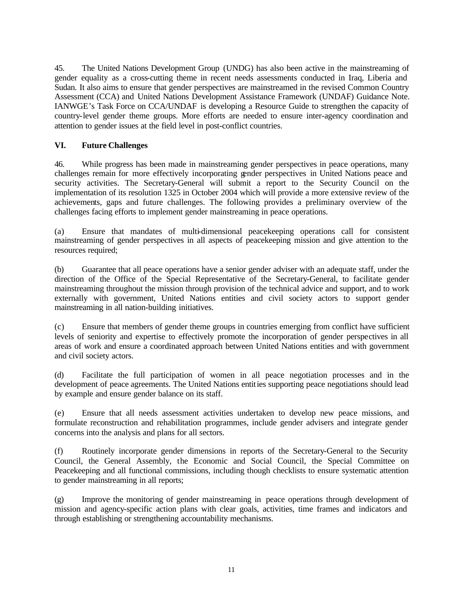45. The United Nations Development Group (UNDG) has also been active in the mainstreaming of gender equality as a cross-cutting theme in recent needs assessments conducted in Iraq, Liberia and Sudan. It also aims to ensure that gender perspectives are mainstreamed in the revised Common Country Assessment (CCA) and United Nations Development Assistance Framework (UNDAF) Guidance Note. IANWGE's Task Force on CCA/UNDAF is developing a Resource Guide to strengthen the capacity of country-level gender theme groups. More efforts are needed to ensure inter-agency coordination and attention to gender issues at the field level in post-conflict countries.

### **VI. Future Challenges**

46. While progress has been made in mainstreaming gender perspectives in peace operations, many challenges remain for more effectively incorporating gender perspectives in United Nations peace and security activities. The Secretary-General will submit a report to the Security Council on the implementation of its resolution 1325 in October 2004 which will provide a more extensive review of the achievements, gaps and future challenges. The following provides a preliminary overview of the challenges facing efforts to implement gender mainstreaming in peace operations.

(a) Ensure that mandates of multi-dimensional peacekeeping operations call for consistent mainstreaming of gender perspectives in all aspects of peacekeeping mission and give attention to the resources required;

(b) Guarantee that all peace operations have a senior gender adviser with an adequate staff, under the direction of the Office of the Special Representative of the Secretary-General, to facilitate gender mainstreaming throughout the mission through provision of the technical advice and support, and to work externally with government, United Nations entities and civil society actors to support gender mainstreaming in all nation-building initiatives.

(c) Ensure that members of gender theme groups in countries emerging from conflict have sufficient levels of seniority and expertise to effectively promote the incorporation of gender perspectives in all areas of work and ensure a coordinated approach between United Nations entities and with government and civil society actors.

(d) Facilitate the full participation of women in all peace negotiation processes and in the development of peace agreements. The United Nations entities supporting peace negotiations should lead by example and ensure gender balance on its staff.

(e) Ensure that all needs assessment activities undertaken to develop new peace missions, and formulate reconstruction and rehabilitation programmes, include gender advisers and integrate gender concerns into the analysis and plans for all sectors.

(f) Routinely incorporate gender dimensions in reports of the Secretary-General to the Security Council, the General Assembly, the Economic and Social Council, the Special Committee on Peacekeeping and all functional commissions, including though checklists to ensure systematic attention to gender mainstreaming in all reports;

(g) Improve the monitoring of gender mainstreaming in peace operations through development of mission and agency-specific action plans with clear goals, activities, time frames and indicators and through establishing or strengthening accountability mechanisms.